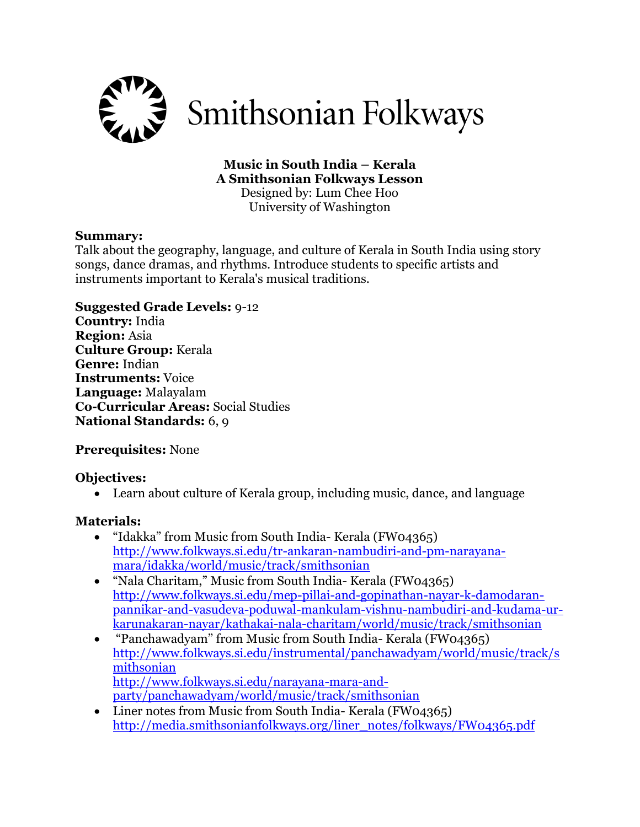

# **Music in South India – Kerala A Smithsonian Folkways Lesson**

Designed by: Lum Chee Hoo University of Washington

#### **Summary:**

Talk about the geography, language, and culture of Kerala in South India using story songs, dance dramas, and rhythms. Introduce students to specific artists and instruments important to Kerala's musical traditions.

### **Suggested Grade Levels:** 9-12

**Country:** India **Region:** Asia **Culture Group:** Kerala **Genre:** Indian **Instruments:** Voice **Language:** Malayalam **Co-Curricular Areas:** Social Studies **National Standards:** 6, 9

# **Prerequisites:** None

### **Objectives:**

Learn about culture of Kerala group, including music, dance, and language

### **Materials:**

- "Idakka" from Music from South India- Kerala (FW04365) [http://www.folkways.si.edu/tr-ankaran-nambudiri-and-pm-narayana](http://www.folkways.si.edu/tr-ankaran-nambudiri-and-pm-narayana-mara/idakka/world/music/track/smithsonian)[mara/idakka/world/music/track/smithsonian](http://www.folkways.si.edu/tr-ankaran-nambudiri-and-pm-narayana-mara/idakka/world/music/track/smithsonian)
- "Nala Charitam," Music from South India- Kerala (FW04365) [http://www.folkways.si.edu/mep-pillai-and-gopinathan-nayar-k-damodaran](http://www.folkways.si.edu/mep-pillai-and-gopinathan-nayar-k-damodaran-pannikar-and-vasudeva-poduwal-mankulam-vishnu-nambudiri-and-kudama-ur-karunakaran-nayar/kathakai-nala-charitam/world/music/track/smithsonian)[pannikar-and-vasudeva-poduwal-mankulam-vishnu-nambudiri-and-kudama-ur](http://www.folkways.si.edu/mep-pillai-and-gopinathan-nayar-k-damodaran-pannikar-and-vasudeva-poduwal-mankulam-vishnu-nambudiri-and-kudama-ur-karunakaran-nayar/kathakai-nala-charitam/world/music/track/smithsonian)[karunakaran-nayar/kathakai-nala-charitam/world/music/track/smithsonian](http://www.folkways.si.edu/mep-pillai-and-gopinathan-nayar-k-damodaran-pannikar-and-vasudeva-poduwal-mankulam-vishnu-nambudiri-and-kudama-ur-karunakaran-nayar/kathakai-nala-charitam/world/music/track/smithsonian)
- "Panchawadyam" from Music from South India- Kerala (FW04365) [http://www.folkways.si.edu/instrumental/panchawadyam/world/music/track/s](http://www.folkways.si.edu/instrumental/panchawadyam/world/music/track/smithsonian) [mithsonian](http://www.folkways.si.edu/instrumental/panchawadyam/world/music/track/smithsonian) [http://www.folkways.si.edu/narayana-mara-and](http://www.folkways.si.edu/narayana-mara-and-party/panchawadyam/world/music/track/smithsonian)[party/panchawadyam/world/music/track/smithsonian](http://www.folkways.si.edu/narayana-mara-and-party/panchawadyam/world/music/track/smithsonian)
- Liner notes from Music from South India- Kerala (FW04365) [http://media.smithsonianfolkways.org/liner\\_notes/folkways/FW04365.pdf](http://media.smithsonianfolkways.org/liner_notes/folkways/FW04365.pdf)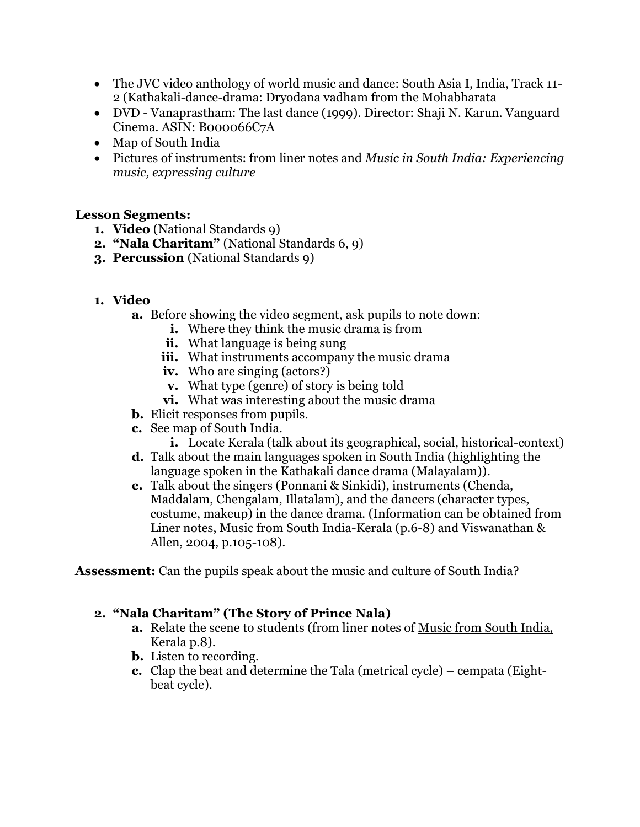- The JVC video anthology of world music and dance: South Asia I, India, Track 11- 2 (Kathakali-dance-drama: Dryodana vadham from the Mohabharata
- DVD Vanaprastham: The last dance (1999). Director: Shaji N. Karun. Vanguard Cinema. ASIN: B000066C7A
- Map of South India
- Pictures of instruments: from liner notes and *Music in South India: Experiencing music, expressing culture*

#### **Lesson Segments:**

- **1. Video** (National Standards 9)
- **2. "Nala Charitam"** (National Standards 6, 9)
- **3. Percussion** (National Standards 9)
- **1. Video**
	- **a.** Before showing the video segment, ask pupils to note down:
		- **i.** Where they think the music drama is from
		- **ii.** What language is being sung
		- **iii.** What instruments accompany the music drama
		- **iv.** Who are singing (actors?)
		- **v.** What type (genre) of story is being told
		- **vi.** What was interesting about the music drama
	- **b.** Elicit responses from pupils.
	- **c.** See map of South India.
		- **i.** Locate Kerala (talk about its geographical, social, historical-context)
	- **d.** Talk about the main languages spoken in South India (highlighting the language spoken in the Kathakali dance drama (Malayalam)).
	- **e.** Talk about the singers (Ponnani & Sinkidi), instruments (Chenda, Maddalam, Chengalam, Illatalam), and the dancers (character types, costume, makeup) in the dance drama. (Information can be obtained from Liner notes, Music from South India-Kerala (p.6-8) and Viswanathan & Allen, 2004, p.105-108).

**Assessment:** Can the pupils speak about the music and culture of South India?

### **2. "Nala Charitam" (The Story of Prince Nala)**

- **a.** Relate the scene to students (from liner notes of Music from South India, Kerala p.8).
- **b.** Listen to recording.
- **c.** Clap the beat and determine the Tala (metrical cycle) cempata (Eightbeat cycle).